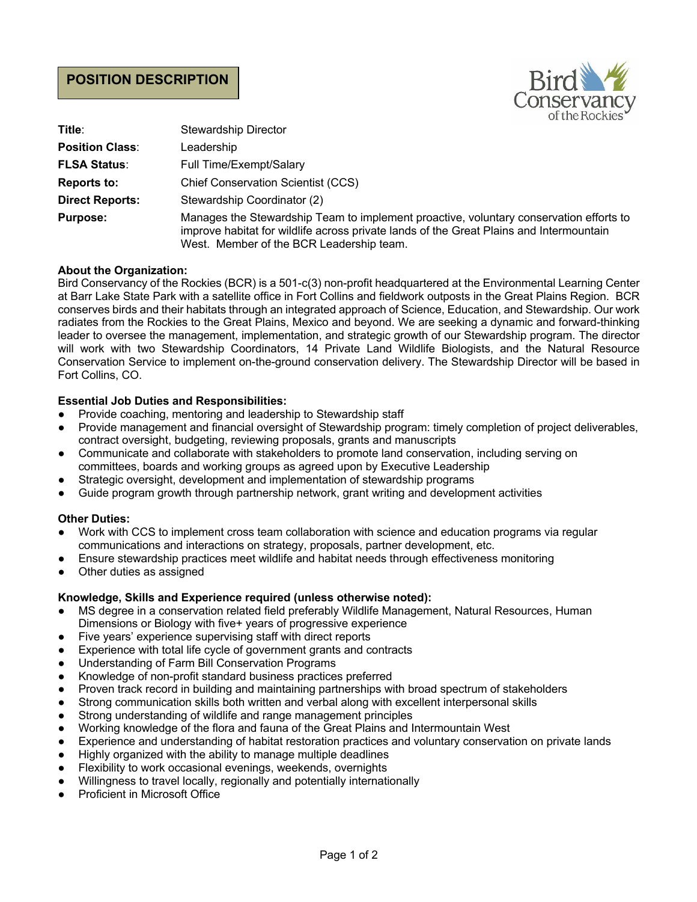# **POSITION DESCRIPTION**



| Title:                 | <b>Stewardship Director</b>                                                                                                                                                                                                   |
|------------------------|-------------------------------------------------------------------------------------------------------------------------------------------------------------------------------------------------------------------------------|
| <b>Position Class:</b> | Leadership                                                                                                                                                                                                                    |
| <b>FLSA Status:</b>    | Full Time/Exempt/Salary                                                                                                                                                                                                       |
| <b>Reports to:</b>     | <b>Chief Conservation Scientist (CCS)</b>                                                                                                                                                                                     |
| <b>Direct Reports:</b> | Stewardship Coordinator (2)                                                                                                                                                                                                   |
| <b>Purpose:</b>        | Manages the Stewardship Team to implement proactive, voluntary conservation efforts to<br>improve habitat for wildlife across private lands of the Great Plains and Intermountain<br>West. Member of the BCR Leadership team. |

## **About the Organization:**

Bird Conservancy of the Rockies (BCR) is a 501-c(3) non-profit headquartered at the Environmental Learning Center at Barr Lake State Park with a satellite office in Fort Collins and fieldwork outposts in the Great Plains Region. BCR conserves birds and their habitats through an integrated approach of Science, Education, and Stewardship. Our work radiates from the Rockies to the Great Plains, Mexico and beyond. We are seeking a dynamic and forward-thinking leader to oversee the management, implementation, and strategic growth of our Stewardship program. The director will work with two Stewardship Coordinators, 14 Private Land Wildlife Biologists, and the Natural Resource Conservation Service to implement on-the-ground conservation delivery. The Stewardship Director will be based in Fort Collins, CO.

## **Essential Job Duties and Responsibilities:**

- Provide coaching, mentoring and leadership to Stewardship staff
- Provide management and financial oversight of Stewardship program: timely completion of project deliverables, contract oversight, budgeting, reviewing proposals, grants and manuscripts
- Communicate and collaborate with stakeholders to promote land conservation, including serving on committees, boards and working groups as agreed upon by Executive Leadership
- Strategic oversight, development and implementation of stewardship programs
- Guide program growth through partnership network, grant writing and development activities

#### **Other Duties:**

- Work with CCS to implement cross team collaboration with science and education programs via regular communications and interactions on strategy, proposals, partner development, etc.
- Ensure stewardship practices meet wildlife and habitat needs through effectiveness monitoring
- Other duties as assigned

#### **Knowledge, Skills and Experience required (unless otherwise noted):**

- MS degree in a conservation related field preferably Wildlife Management, Natural Resources, Human Dimensions or Biology with five+ years of progressive experience
- Five years' experience supervising staff with direct reports
- Experience with total life cycle of government grants and contracts
- Understanding of Farm Bill Conservation Programs
- Knowledge of non-profit standard business practices preferred
- Proven track record in building and maintaining partnerships with broad spectrum of stakeholders
- Strong communication skills both written and verbal along with excellent interpersonal skills
- Strong understanding of wildlife and range management principles
- Working knowledge of the flora and fauna of the Great Plains and Intermountain West
- Experience and understanding of habitat restoration practices and voluntary conservation on private lands
- Highly organized with the ability to manage multiple deadlines
- Flexibility to work occasional evenings, weekends, overnights
- Willingness to travel locally, regionally and potentially internationally
- **Proficient in Microsoft Office**